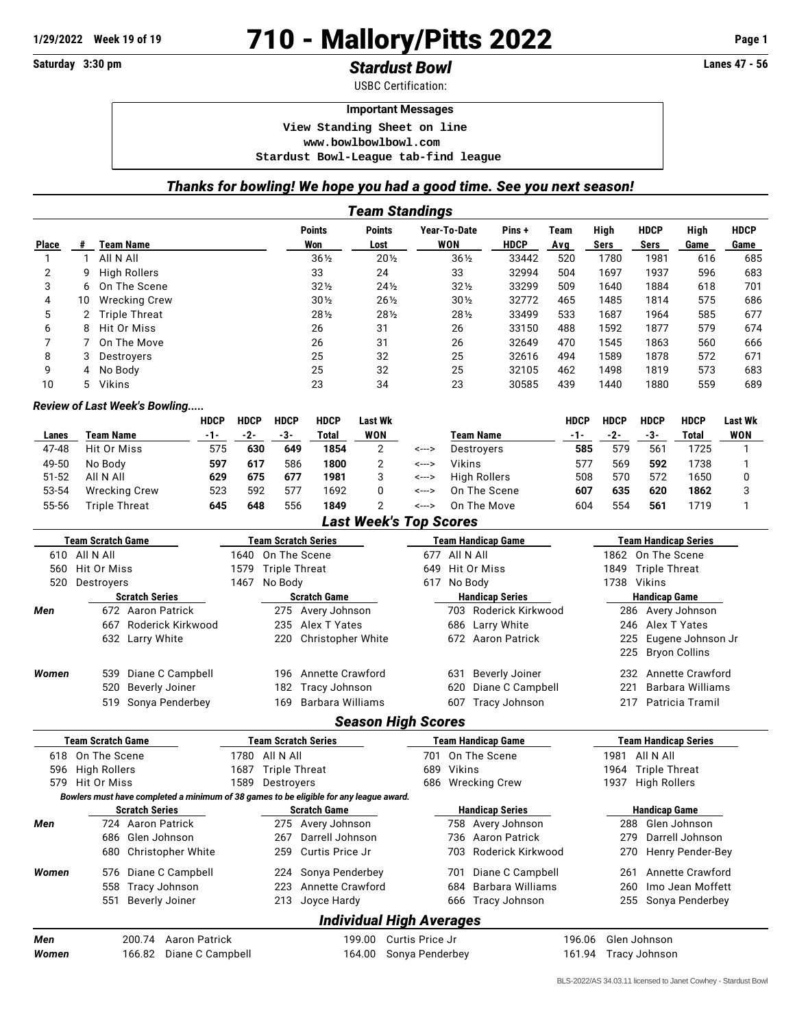## 1/29/2022 Week 19 of 19<br> **1/29/2022** Page 1<br> **1/29/2022** Page 1<br> **1/29/2022** Page 1<br> **1/29/2022** Page 1<br> **1/310 pm**<br> **1/310 - Mallory/Pitts 2022** Page 1

## Saturday 3:30 pm<br> **Stardust Bowl**

USBC Certification:

## **Important Messages**

 **View Standing Sheet on line <www.bowlbowlbowl.com> Stardust Bowl-League tab-find league**

## *Thanks for bowling! We hope you had a good time. See you next season! Team Standings*

|                                                                        |                                            |                                                                                        |                              |                                          |                          | <b>Points</b>              | Points         |                                             | Year-To-Date              |                         |                           | Pins +                                      | Team        | High                        | <b>HDCP</b>          | High                        | <b>HDCP</b> |
|------------------------------------------------------------------------|--------------------------------------------|----------------------------------------------------------------------------------------|------------------------------|------------------------------------------|--------------------------|----------------------------|----------------|---------------------------------------------|---------------------------|-------------------------|---------------------------|---------------------------------------------|-------------|-----------------------------|----------------------|-----------------------------|-------------|
| <b>Place</b>                                                           | Team Name<br>#                             |                                                                                        |                              |                                          |                          | Won                        | Lost           |                                             |                           | <b>WON</b>              |                           | <b>HDCP</b>                                 | Avg         | Sers                        | Sers                 | Game                        | Game        |
| 1                                                                      | All N All<br>$\mathbf{1}$                  |                                                                                        |                              |                                          |                          | $36\frac{1}{2}$            |                | $20\%$                                      |                           | 36½                     |                           | 33442                                       | 520         | 1780                        | 1981                 | 616                         | 685         |
| 2                                                                      | 9                                          | <b>High Rollers</b>                                                                    |                              |                                          |                          | 33                         | 24             |                                             |                           | 33                      |                           | 32994                                       | 504         | 1697                        | 1937                 | 596                         | 683         |
| 3                                                                      | 6                                          | On The Scene                                                                           |                              |                                          |                          | $32\frac{1}{2}$            |                | $24\frac{1}{2}$                             |                           | $32\frac{1}{2}$         |                           | 33299                                       | 509         | 1640                        | 1884                 | 618                         | 701         |
| 4                                                                      | 10                                         | <b>Wrecking Crew</b>                                                                   |                              |                                          |                          | $30\%$                     |                | $26\frac{1}{2}$                             |                           | $30\%$                  |                           | 32772                                       | 465         | 1485                        | 1814                 | 575                         | 686         |
| 5                                                                      | 2                                          | <b>Triple Threat</b>                                                                   |                              |                                          |                          | 281/2                      |                | 281/2                                       |                           | 281/2                   |                           | 33499                                       | 533         | 1687                        | 1964                 | 585                         | 677         |
| 6                                                                      | 8                                          | Hit Or Miss                                                                            |                              |                                          |                          | 26                         | 31             |                                             |                           | 26                      |                           | 33150                                       | 488         | 1592                        | 1877                 | 579                         | 674         |
| 7                                                                      | 7                                          | On The Move                                                                            |                              |                                          |                          | 26                         | 31             |                                             |                           | 26                      |                           | 32649                                       | 470         | 1545                        | 1863                 | 560                         | 666         |
| 8                                                                      | 3<br>Destroyers                            |                                                                                        |                              |                                          |                          | 25                         | 32             |                                             |                           | 25                      |                           | 32616                                       | 494         | 1589                        | 1878                 | 572                         | 671         |
| 9                                                                      | No Body<br>4                               |                                                                                        |                              |                                          |                          | 25                         | 32             |                                             |                           | 25                      |                           | 32105                                       | 462         | 1498                        | 1819                 | 573                         | 683         |
| 10                                                                     | 5<br>Vikins                                |                                                                                        |                              |                                          |                          | 23                         | 34             |                                             |                           | 23                      |                           | 30585                                       | 439         | 1440                        | 1880                 | 559                         | 689         |
|                                                                        |                                            | Review of Last Week's Bowling                                                          |                              |                                          |                          |                            |                |                                             |                           |                         |                           |                                             |             |                             |                      |                             |             |
|                                                                        |                                            |                                                                                        | <b>HDCP</b>                  | <b>HDCP</b>                              | <b>HDCP</b>              | <b>HDCP</b>                | Last Wk        |                                             |                           |                         |                           |                                             | <b>HDCP</b> | <b>HDCP</b>                 | <b>HDCP</b>          | <b>HDCP</b>                 | Last Wk     |
| Lanes                                                                  | <b>Team Name</b>                           |                                                                                        | $-1-$                        | $-2-$                                    | $-3-$                    | <b>Total</b>               | <b>WON</b>     |                                             |                           |                         | <b>Team Name</b>          |                                             | $-1-$       | $-2-$                       | $-3-$                | <b>Total</b>                | <b>WON</b>  |
| 47-48                                                                  | Hit Or Miss                                |                                                                                        | 575                          | 630                                      | 649                      | 1854                       | $\overline{2}$ |                                             | <--->                     |                         | Destroyers                |                                             | 585         | 579                         | 561                  | 1725                        | 1           |
| 49-50                                                                  | No Body                                    |                                                                                        | 597                          | 617                                      | 586                      | 1800                       | $\overline{2}$ |                                             | <--->                     | <b>Vikins</b>           |                           |                                             | 577         | 569                         | 592                  | 1738                        | 1           |
| $51 - 52$                                                              | All N All                                  |                                                                                        | 629                          | 675                                      | 677                      | 1981                       | 3              |                                             | <--->                     |                         | <b>High Rollers</b>       |                                             | 508         | 570                         | 572                  | 1650                        | 0           |
| 53-54                                                                  | <b>Wrecking Crew</b>                       |                                                                                        | 523                          | 592                                      | 577                      | 1692                       | 0              |                                             | <--->                     |                         | On The Scene              |                                             | 607         | 635                         | 620                  | 1862                        | 3           |
| 55-56                                                                  | <b>Triple Threat</b>                       |                                                                                        | 645                          | 648                                      | 556                      | 1849                       | 2              |                                             | <--->                     |                         | On The Move               |                                             | 604         | 554                         | 561                  | 1719                        | 1           |
|                                                                        |                                            |                                                                                        |                              |                                          |                          |                            |                | <b>Last Week's Top Scores</b>               |                           |                         |                           |                                             |             |                             |                      |                             |             |
|                                                                        | <b>Team Scratch Game</b>                   |                                                                                        |                              | <b>Team Scratch Series</b>               |                          |                            |                |                                             | <b>Team Handicap Game</b> |                         |                           |                                             |             | <b>Team Handicap Series</b> |                      |                             |             |
|                                                                        | 610 All N All                              |                                                                                        |                              | 1640                                     |                          | On The Scene               |                |                                             | 677                       | All N All               |                           |                                             |             |                             | 1862 On The Scene    |                             |             |
| 560                                                                    | Hit Or Miss                                |                                                                                        | <b>Triple Threat</b><br>1579 |                                          |                          |                            |                | Hit Or Miss<br>649                          |                           |                         |                           |                                             | 1849        | <b>Triple Threat</b>        |                      |                             |             |
| 520                                                                    | Destroyers                                 |                                                                                        |                              | 1467                                     | No Body                  |                            |                |                                             | 617 No Body               |                         |                           |                                             |             |                             | 1738 Vikins          |                             |             |
| <b>Handicap Series</b><br><b>Scratch Series</b><br><b>Scratch Game</b> |                                            |                                                                                        |                              |                                          |                          |                            |                | <b>Handicap Game</b>                        |                           |                         |                           |                                             |             |                             |                      |                             |             |
| Men                                                                    | 672 Aaron Patrick                          |                                                                                        |                              |                                          |                          | 275 Avery Johnson          |                |                                             |                           |                         | 703 Roderick Kirkwood     |                                             |             |                             |                      | 286 Avery Johnson           |             |
|                                                                        | 667 Roderick Kirkwood                      |                                                                                        |                              | 235<br>Alex T Yates                      |                          |                            |                |                                             |                           | 686 Larry White         |                           |                                             | 246         |                             | Alex T Yates         |                             |             |
|                                                                        | 632 Larry White                            |                                                                                        |                              |                                          | 220<br>Christopher White |                            |                |                                             | 672 Aaron Patrick         |                         |                           |                                             | 225         |                             | Eugene Johnson Jr    |                             |             |
|                                                                        |                                            |                                                                                        |                              |                                          |                          |                            |                |                                             |                           |                         |                           |                                             |             | 225                         |                      | <b>Bryon Collins</b>        |             |
| Women                                                                  |                                            | 539 Diane C Campbell                                                                   |                              |                                          | 196                      | <b>Annette Crawford</b>    |                |                                             |                           | 631                     | <b>Beverly Joiner</b>     |                                             |             |                             |                      | 232 Annette Crawford        |             |
|                                                                        | 520 Beverly Joiner                         |                                                                                        |                              |                                          | 182                      | Tracy Johnson              |                |                                             |                           | Diane C Campbell<br>620 |                           |                                             |             | 221<br>Barbara Williams     |                      |                             |             |
|                                                                        |                                            | 519 Sonya Penderbey                                                                    |                              |                                          | 169                      | <b>Barbara Williams</b>    |                |                                             |                           |                         | 607 Tracy Johnson         |                                             |             | Patricia Tramil<br>217      |                      |                             |             |
|                                                                        |                                            |                                                                                        |                              |                                          |                          |                            |                | <b>Season High Scores</b>                   |                           |                         |                           |                                             |             |                             |                      |                             |             |
|                                                                        | <b>Team Scratch Game</b>                   |                                                                                        |                              |                                          |                          | <b>Team Scratch Series</b> |                |                                             |                           |                         | <b>Team Handicap Game</b> |                                             |             |                             |                      | <b>Team Handicap Series</b> |             |
|                                                                        | 618 On The Scene                           |                                                                                        |                              | 1780 All N All                           |                          |                            |                |                                             | 701                       |                         | On The Scene              |                                             |             | 1981                        | All N All            |                             |             |
| 596                                                                    | <b>High Rollers</b>                        |                                                                                        |                              | 1687                                     | <b>Triple Threat</b>     |                            |                |                                             | 689                       | Vikins                  |                           |                                             |             | 1964                        | <b>Triple Threat</b> |                             |             |
| 579                                                                    | Hit Or Miss                                |                                                                                        |                              | 1589 Destroyers                          |                          |                            |                |                                             |                           |                         | 686 Wrecking Crew         |                                             |             |                             | 1937 High Rollers    |                             |             |
|                                                                        |                                            | Bowlers must have completed a minimum of 38 games to be eligible for any league award. |                              |                                          |                          |                            |                |                                             |                           |                         |                           |                                             |             |                             |                      |                             |             |
| Men                                                                    | <b>Scratch Series</b><br>724 Aaron Patrick |                                                                                        |                              | <b>Scratch Game</b><br>275 Avery Johnson |                          |                            |                | <b>Handicap Series</b><br>758 Avery Johnson |                           |                         |                           | <b>Handicap Game</b><br>Glen Johnson<br>288 |             |                             |                      |                             |             |
|                                                                        |                                            | 686 Glen Johnson                                                                       |                              |                                          |                          | 267 Darrell Johnson        |                |                                             |                           |                         | 736 Aaron Patrick         |                                             |             | 279                         |                      | Darrell Johnson             |             |
|                                                                        |                                            |                                                                                        |                              |                                          |                          | Curtis Price Jr            |                |                                             |                           |                         |                           |                                             |             |                             |                      |                             |             |
|                                                                        |                                            | 680 Christopher White                                                                  |                              |                                          | 259                      |                            |                |                                             |                           | 703                     | Roderick Kirkwood         |                                             |             | 270                         |                      | Henry Pender-Bey            |             |
| Women                                                                  |                                            | 576 Diane C Campbell                                                                   |                              |                                          | 224                      | Sonya Penderbey            |                |                                             |                           | 701                     | Diane C Campbell          |                                             |             | 261                         |                      | <b>Annette Crawford</b>     |             |
|                                                                        |                                            | 558 Tracy Johnson                                                                      |                              |                                          | 223                      | <b>Annette Crawford</b>    |                |                                             |                           | 684                     | Barbara Williams          |                                             |             | 260                         |                      | Imo Jean Moffett            |             |
|                                                                        |                                            | 551 Beverly Joiner                                                                     |                              |                                          | 213                      | Joyce Hardy                |                |                                             |                           |                         | 666 Tracy Johnson         |                                             |             |                             |                      | 255 Sonya Penderbey         |             |
|                                                                        |                                            |                                                                                        |                              |                                          |                          |                            |                | <b>Individual High Averages</b>             |                           |                         |                           |                                             |             |                             |                      |                             |             |
| Men                                                                    |                                            | 200.74 Aaron Patrick                                                                   |                              |                                          |                          |                            |                | 199.00 Curtis Price Jr                      |                           |                         |                           |                                             | 196.06      |                             | Glen Johnson         |                             |             |
| Women                                                                  |                                            | 166.82 Diane C Campbell                                                                |                              |                                          |                          |                            |                | 164.00 Sonya Penderbey                      |                           |                         |                           |                                             | 161.94      |                             | Tracy Johnson        |                             |             |

BLS-2022/AS 34.03.11 licensed to Janet Cowhey - Stardust Bowl